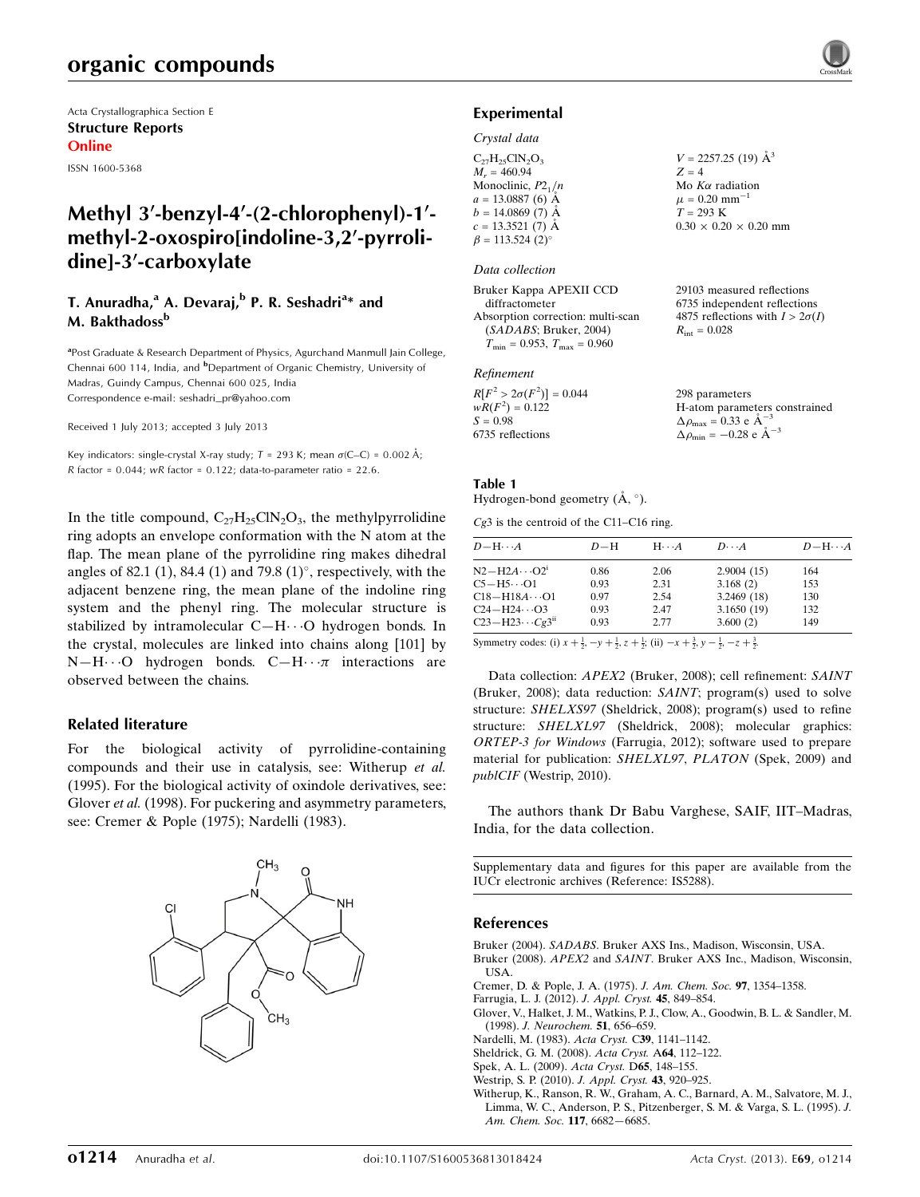Acta Crystallographica Section E Structure Reports Online

ISSN 1600-5368

# Methyl 3'-benzyl-4'-(2-chlorophenyl)-1'methyl-2-oxospiro[indoline-3,2'-pyrrolidine]-3'-carboxylate

### T. Anuradha,<sup>a</sup> A. Devaraj,<sup>b</sup> P. R. Seshadri<sup>a</sup>\* and M. Bakthadoss<sup>b</sup>

<sup>a</sup> Post Graduate & Research Department of Physics, Agurchand Manmull Jain College, Chennai 600 114, India, and <sup>b</sup>Department of Organic Chemistry, University of Madras, Guindy Campus, Chennai 600 025, India Correspondence e-mail: [seshadri\\_pr@yahoo.com](https://scripts.iucr.org/cgi-bin/cr.cgi?rm=pdfbb&cnor=is5288&bbid=BB10)

Received 1 July 2013; accepted 3 July 2013

Key indicators: single-crystal X-ray study;  $T = 293$  K; mean  $\sigma$ (C–C) = 0.002 Å; R factor =  $0.044$ ; wR factor =  $0.122$ ; data-to-parameter ratio =  $22.6$ .

In the title compound,  $C_{27}H_{25}C_{N2}O_3$ , the methylpyrrolidine ring adopts an envelope conformation with the N atom at the flap. The mean plane of the pyrrolidine ring makes dihedral angles of 82.1 (1), 84.4 (1) and 79.8 (1) $^{\circ}$ , respectively, with the adjacent benzene ring, the mean plane of the indoline ring system and the phenyl ring. The molecular structure is stabilized by intramolecular  $C-H\cdots O$  hydrogen bonds. In the crystal, molecules are linked into chains along [101] by  $N-H\cdots$ O hydrogen bonds.  $C-H\cdots\pi$  interactions are observed between the chains.

#### Related literature

For the biological activity of pyrrolidine-containing compounds and their use in catalysis, see: Witherup et al. (1995). For the biological activity of oxindole derivatives, see: Glover et al. (1998). For puckering and asymmetry parameters, see: Cremer & Pople (1975); Nardelli (1983).



# Experimental

#### Crystal data

| $C_{27}H_{25}CIN_2O_3$             | $V = 2257.25$ (19) $\AA^3$        |
|------------------------------------|-----------------------------------|
| $M_r = 460.94$                     | $Z = 4$                           |
| Monoclinic, $P2_1/n$               | Mo $K\alpha$ radiation            |
| $a = 13.0887(6)$ Å                 | $\mu = 0.20$ mm <sup>-1</sup>     |
| $b = 14.0869(7)$ Å                 | $T = 293 \text{ K}$               |
| $c = 13.3521(7)$ Å                 | $0.30 \times 0.20 \times 0.20$ mm |
| $\beta = 113.524$ (2) <sup>o</sup> |                                   |

#### Data collection

Bruker Kappa APEXII CCD diffractometer Absorption correction: multi-scan (SADABS; Bruker, 2004)  $T_{\text{min}} = 0.953$ ,  $T_{\text{max}} = 0.960$ 

#### Refinement

| $R[F^2 > 2\sigma(F^2)] = 0.044$ | 298 parameters                                     |
|---------------------------------|----------------------------------------------------|
| $wR(F^2) = 0.122$               | H-atom parameters constrained                      |
| $S = 0.98$                      | $\Delta \rho_{\text{max}} = 0.33 \text{ e A}^{-3}$ |
| 6735 reflections                | $\Delta \rho_{\text{min}} = -0.28$ e $\AA^{-3}$    |

29103 measured reflections 6735 independent reflections 4875 reflections with  $I > 2\sigma(I)$ 

 $R_{\text{int}} = 0.028$ 

#### Table 1

# Hydrogen-bond geometry  $(\AA, \degree)$ .

Cg3 is the centroid of the C11–C16 ring.

| $D - H \cdots A$                     | $D-H$ | $H \cdot \cdot \cdot A$ | $D\cdots A$ | $D - H \cdots A$ |
|--------------------------------------|-------|-------------------------|-------------|------------------|
| $N2-H2A\cdots O2^1$                  | 0.86  | 2.06                    | 2.9004(15)  | 164              |
| $C5 - H5 \cdot \cdot \cdot \cdot O1$ | 0.93  | 2.31                    | 3.168(2)    | 153              |
| $C18 - H18A \cdots 01$               | 0.97  | 2.54                    | 3.2469(18)  | 130              |
| $C_{24} - H_{24} \cdots O_{3}$       | 0.93  | 2.47                    | 3.1650(19)  | 132              |
| $C23 - H23 \cdots Cg3^{ii}$          | 0.93  | 2.77                    | 3.600(2)    | 149              |

Symmetry codes: (i)  $x + \frac{1}{2}$ ,  $-y + \frac{1}{2}$ ,  $z + \frac{1}{2}$ ; (ii)  $-x + \frac{3}{2}$ ,  $y - \frac{1}{2}$ ,  $-z + \frac{3}{2}$ .

Data collection: APEX2 (Bruker, 2008); cell refinement: SAINT (Bruker, 2008); data reduction: SAINT; program(s) used to solve structure: SHELXS97 (Sheldrick, 2008); program(s) used to refine structure: SHELXL97 (Sheldrick, 2008); molecular graphics: ORTEP-3 for Windows (Farrugia, 2012); software used to prepare material for publication: SHELXL97, PLATON (Spek, 2009) and publCIF (Westrip, 2010).

The authors thank Dr Babu Varghese, SAIF, IIT–Madras, India, for the data collection.

Supplementary data and figures for this paper are available from the IUCr electronic archives (Reference: IS5288).

#### References

- Bruker (2004). SADABS[. Bruker AXS Ins., Madison, Wisconsin, USA.](https://scripts.iucr.org/cgi-bin/cr.cgi?rm=pdfbb&cnor=is5288&bbid=BB1) Bruker (2008). APEX2 and SAINT[. Bruker AXS Inc., Madison, Wisconsin,](https://scripts.iucr.org/cgi-bin/cr.cgi?rm=pdfbb&cnor=is5288&bbid=BB2) [USA.](https://scripts.iucr.org/cgi-bin/cr.cgi?rm=pdfbb&cnor=is5288&bbid=BB2)
- [Cremer, D. & Pople, J. A. \(1975\).](https://scripts.iucr.org/cgi-bin/cr.cgi?rm=pdfbb&cnor=is5288&bbid=BB3) J. Am. Chem. Soc. 97, 1354–1358.
- [Farrugia, L. J. \(2012\).](https://scripts.iucr.org/cgi-bin/cr.cgi?rm=pdfbb&cnor=is5288&bbid=BB4) J. Appl. Cryst. 45, 849–854.
- [Glover, V., Halket, J. M., Watkins, P. J., Clow, A., Goodwin, B. L. & Sandler, M.](https://scripts.iucr.org/cgi-bin/cr.cgi?rm=pdfbb&cnor=is5288&bbid=BB5) (1998). [J. Neurochem.](https://scripts.iucr.org/cgi-bin/cr.cgi?rm=pdfbb&cnor=is5288&bbid=BB5) 51, 656–659.
- [Nardelli, M. \(1983\).](https://scripts.iucr.org/cgi-bin/cr.cgi?rm=pdfbb&cnor=is5288&bbid=BB6) Acta Cryst. C39, 1141–1142.
- [Sheldrick, G. M. \(2008\).](https://scripts.iucr.org/cgi-bin/cr.cgi?rm=pdfbb&cnor=is5288&bbid=BB7) Acta Cryst. A64, 112–122.
- [Spek, A. L. \(2009\).](https://scripts.iucr.org/cgi-bin/cr.cgi?rm=pdfbb&cnor=is5288&bbid=BB8) Acta Cryst. D65, 148–155.
- [Westrip, S. P. \(2010\).](https://scripts.iucr.org/cgi-bin/cr.cgi?rm=pdfbb&cnor=is5288&bbid=BB9) J. Appl. Cryst. 43, 920–925.
- [Witherup, K., Ranson, R. W., Graham, A. C., Barnard, A. M., Salvatore, M. J.,](https://scripts.iucr.org/cgi-bin/cr.cgi?rm=pdfbb&cnor=is5288&bbid=BB10) [Limma, W. C., Anderson, P. S., Pitzenberger, S. M. & Varga, S. L. \(1995\).](https://scripts.iucr.org/cgi-bin/cr.cgi?rm=pdfbb&cnor=is5288&bbid=BB10) J. [Am. Chem. Soc.](https://scripts.iucr.org/cgi-bin/cr.cgi?rm=pdfbb&cnor=is5288&bbid=BB10) 117, 6682—6685.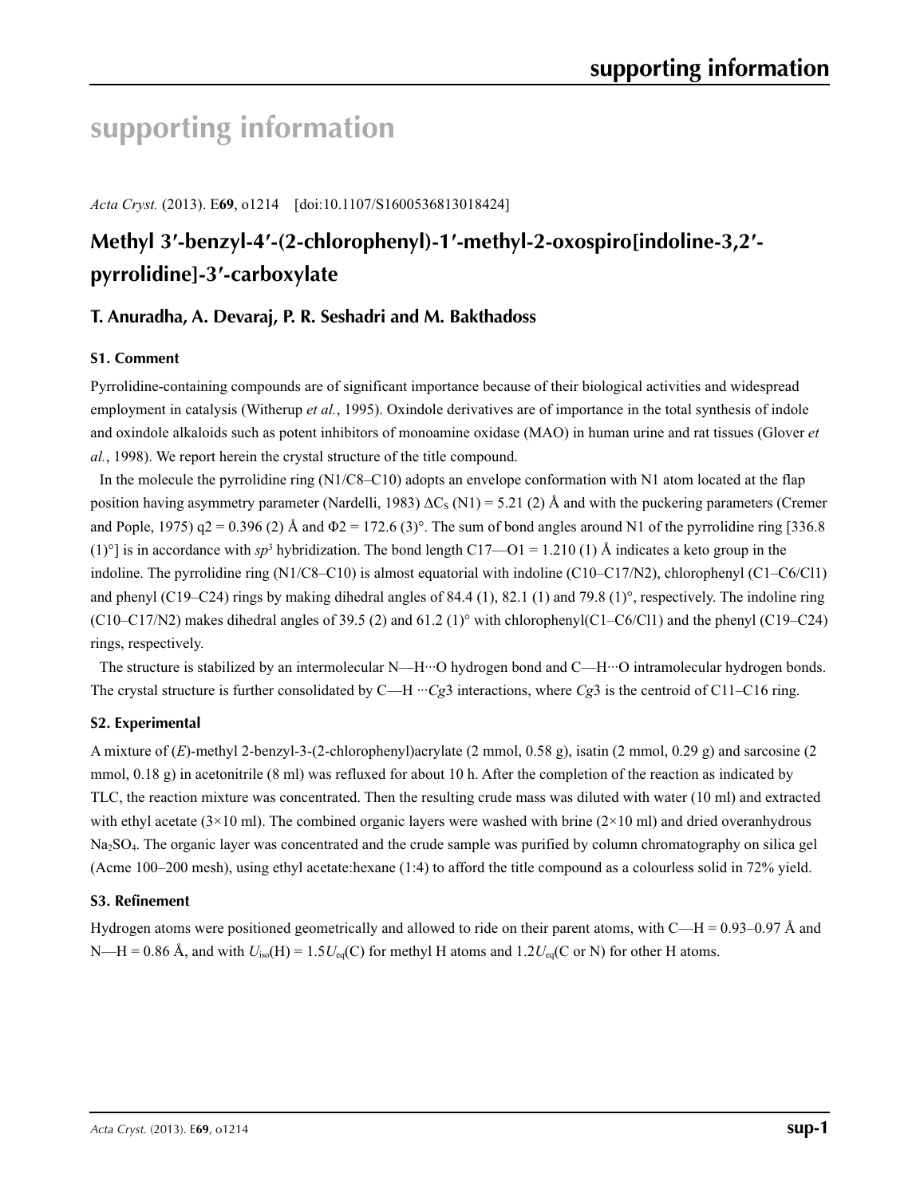# **supporting information**

*Acta Cryst.* (2013). E**69**, o1214 [doi:10.1107/S1600536813018424]

# **Methyl 3′-benzyl-4′-(2-chlorophenyl)-1′-methyl-2-oxospiro[indoline-3,2′ pyrrolidine]-3′-carboxylate**

# **T. Anuradha, A. Devaraj, P. R. Seshadri and M. Bakthadoss**

## **S1. Comment**

Pyrrolidine-containing compounds are of significant importance because of their biological activities and widespread employment in catalysis (Witherup *et al.*, 1995). Oxindole derivatives are of importance in the total synthesis of indole and oxindole alkaloids such as potent inhibitors of monoamine oxidase (MAO) in human urine and rat tissues (Glover *et al.*, 1998). We report herein the crystal structure of the title compound.

In the molecule the pyrrolidine ring (N1/C8–C10) adopts an envelope conformation with N1 atom located at the flap position having asymmetry parameter (Nardelli, 1983)  $\Delta C_S$  (N1) = 5.21 (2) Å and with the puckering parameters (Cremer and Pople, 1975)  $q2 = 0.396$  (2) Å and  $\Phi$ 2 = 172.6 (3)°. The sum of bond angles around N1 of the pyrrolidine ring [336.8] (1)<sup>o</sup>] is in accordance with *sp*<sup>3</sup> hybridization. The bond length C17—O1 = 1.210 (1) Å indicates a keto group in the indoline. The pyrrolidine ring (N1/C8–C10) is almost equatorial with indoline (C10–C17/N2), chlorophenyl (C1–C6/Cl1) and phenyl (C19–C24) rings by making dihedral angles of 84.4 (1), 82.1 (1) and 79.8 (1)°, respectively. The indoline ring (C10–C17/N2) makes dihedral angles of 39.5 (2) and 61.2 (1)° with chlorophenyl(C1–C6/Cl1) and the phenyl (C19–C24) rings, respectively.

The structure is stabilized by an intermolecular N—H···O hydrogen bond and C—H···O intramolecular hydrogen bonds. The crystal structure is further consolidated by C—H ···*Cg*3 interactions, where *Cg*3 is the centroid of C11–C16 ring.

## **S2. Experimental**

A mixture of (*E*)-methyl 2-benzyl-3-(2-chlorophenyl)acrylate (2 mmol, 0.58 g), isatin (2 mmol, 0.29 g) and sarcosine (2 mmol,  $0.18$  g) in acetonitrile (8 ml) was refluxed for about 10 h. After the completion of the reaction as indicated by TLC, the reaction mixture was concentrated. Then the resulting crude mass was diluted with water (10 ml) and extracted with ethyl acetate (3×10 ml). The combined organic layers were washed with brine (2×10 ml) and dried overanhydrous Na2SO4. The organic layer was concentrated and the crude sample was purified by column chromatography on silica gel (Acme 100–200 mesh), using ethyl acetate:hexane (1:4) to afford the title compound as a colourless solid in 72% yield.

#### **S3. Refinement**

Hydrogen atoms were positioned geometrically and allowed to ride on their parent atoms, with  $C-H = 0.93-0.97 \text{ Å}$  and N—H = 0.86 Å, and with  $U_{iso}(H) = 1.5U_{eq}(C)$  for methyl H atoms and 1.2 $U_{eq}(C$  or N) for other H atoms.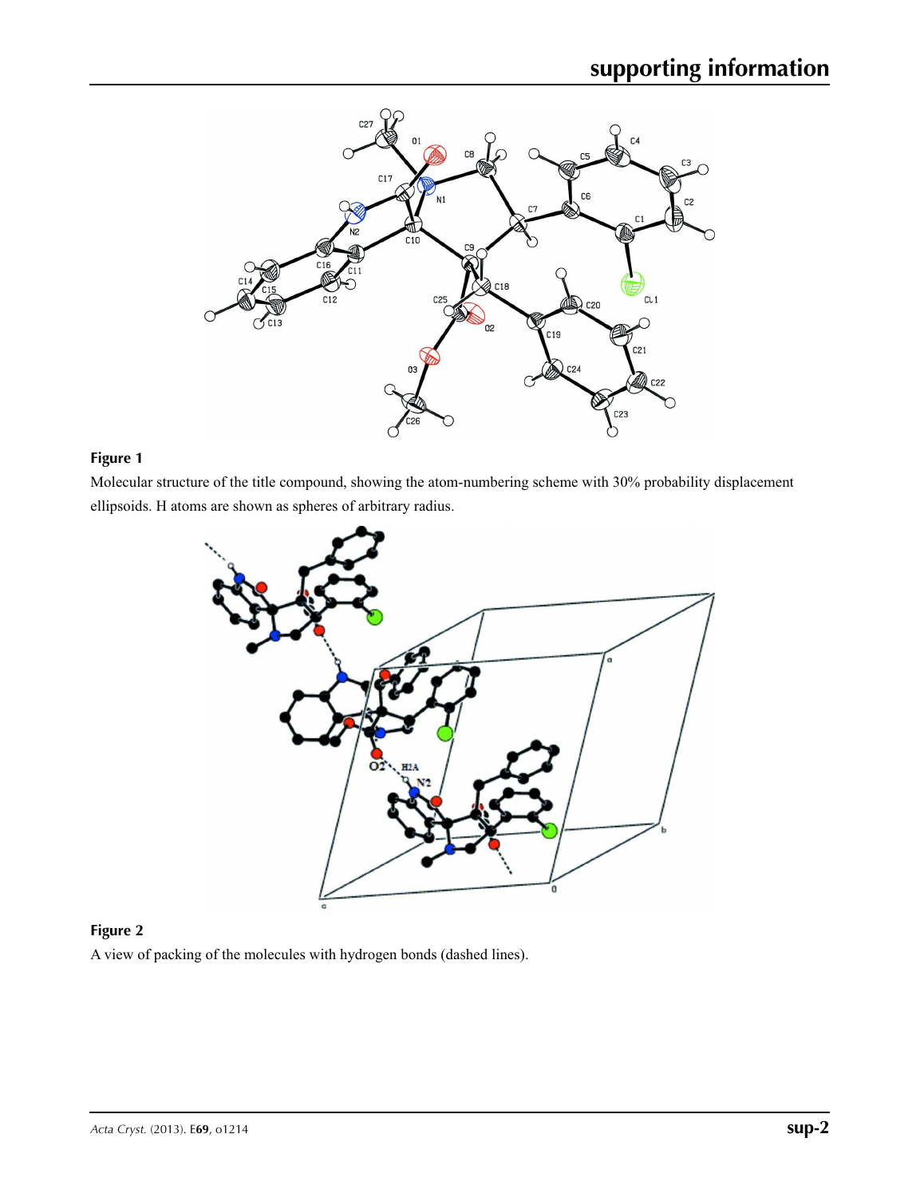

# **Figure 1**

Molecular structure of the title compound, showing the atom-numbering scheme with 30% probability displacement ellipsoids. H atoms are shown as spheres of arbitrary radius.



# **Figure 2**

A view of packing of the molecules with hydrogen bonds (dashed lines).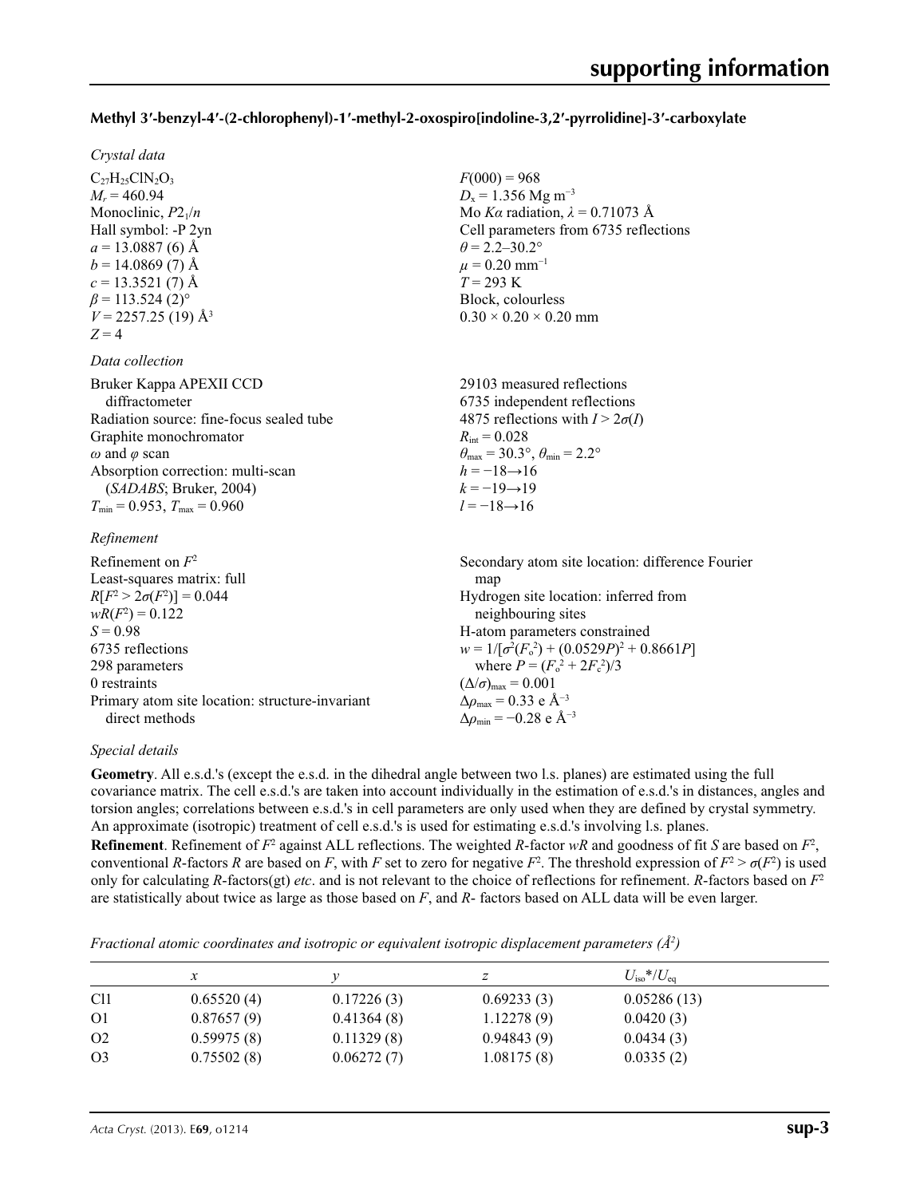### **Methyl 3′-benzyl-4′-(2-chlorophenyl)-1′-methyl-2-oxospiro[indoline-3,2′-pyrrolidine]-3′-carboxylate**

 $F(000) = 968$  $D_x = 1.356$  Mg m<sup>-3</sup>

 $\theta$  = 2.2–30.2°  $\mu$  = 0.20 mm<sup>-1</sup> *T* = 293 K Block, colourless  $0.30 \times 0.20 \times 0.20$  mm

Mo *Kα* radiation, *λ* = 0.71073 Å Cell parameters from 6735 reflections

#### *Crystal data*

 $C_{27}H_{25}CIN_2O_3$  $M_r = 460.94$ Monoclinic, *P*21/*n* Hall symbol: -P 2yn  $a = 13.0887(6)$  Å  $b = 14.0869(7)$  Å  $c = 13.3521(7)$  Å  $\beta$  = 113.524 (2)<sup>o</sup>  $V = 2257.25(19)$  Å<sup>3</sup>  $Z = 4$ 

#### *Data collection*

| Bruker Kappa APEXII CCD<br>diffractometer | 29103 measured reflections<br>6735 independent reflections              |
|-------------------------------------------|-------------------------------------------------------------------------|
| Radiation source: fine-focus sealed tube  | 4875 reflections with $I > 2\sigma(I)$                                  |
| Graphite monochromator                    | $R_{\text{int}} = 0.028$                                                |
| $\omega$ and $\varphi$ scan               | $\theta_{\text{max}} = 30.3^{\circ}, \theta_{\text{min}} = 2.2^{\circ}$ |
| Absorption correction: multi-scan         | $h = -18 \rightarrow 16$                                                |
| (SADABS; Bruker, 2004)                    | $k = -19 \rightarrow 19$                                                |
| $T_{\min}$ = 0.953, $T_{\max}$ = 0.960    | $l = -18 \rightarrow 16$                                                |
| Refinement                                |                                                                         |

| Refinement on $F^2$                             | Secondary atom site location: difference Fourier             |
|-------------------------------------------------|--------------------------------------------------------------|
| Least-squares matrix: full                      | map                                                          |
| $R[F^2 > 2\sigma(F^2)] = 0.044$                 | Hydrogen site location: inferred from                        |
| $wR(F^2) = 0.122$                               | neighbouring sites                                           |
| $S = 0.98$                                      | H-atom parameters constrained                                |
| 6735 reflections                                | $w = 1/[\sigma^2(F_0^2) + (0.0529P)^2 + 0.8661P]$            |
| 298 parameters                                  | where $P = (F_o^2 + 2F_c^2)/3$                               |
| 0 restraints                                    | $(\Delta/\sigma)_{\text{max}} = 0.001$                       |
| Primary atom site location: structure-invariant | $\Delta \rho_{\text{max}} = 0.33 \text{ e } \text{\AA}^{-3}$ |
| direct methods                                  | $\Delta\rho_{\rm min} = -0.28$ e Å <sup>-3</sup>             |

#### *Special details*

**Geometry**. All e.s.d.'s (except the e.s.d. in the dihedral angle between two l.s. planes) are estimated using the full covariance matrix. The cell e.s.d.'s are taken into account individually in the estimation of e.s.d.'s in distances, angles and torsion angles; correlations between e.s.d.'s in cell parameters are only used when they are defined by crystal symmetry. An approximate (isotropic) treatment of cell e.s.d.'s is used for estimating e.s.d.'s involving l.s. planes.

**Refinement**. Refinement of  $F^2$  against ALL reflections. The weighted  $R$ -factor  $wR$  and goodness of fit  $S$  are based on  $F^2$ , conventional *R*-factors *R* are based on *F*, with *F* set to zero for negative  $F^2$ . The threshold expression of  $F^2 > \sigma(F^2)$  is used only for calculating *R*-factors(gt) *etc*. and is not relevant to the choice of reflections for refinement. *R*-factors based on *F*<sup>2</sup> are statistically about twice as large as those based on *F*, and *R*- factors based on ALL data will be even larger.

*Fractional atomic coordinates and isotropic or equivalent isotropic displacement parameters (Å<sup>2</sup>)* 

|                |            |            |            | $U_{\rm iso} * / U_{\rm eq}$ |  |
|----------------|------------|------------|------------|------------------------------|--|
| C <sub>1</sub> | 0.65520(4) | 0.17226(3) | 0.69233(3) | 0.05286(13)                  |  |
| O <sub>1</sub> | 0.87657(9) | 0.41364(8) | 1.12278(9) | 0.0420(3)                    |  |
| O <sub>2</sub> | 0.59975(8) | 0.11329(8) | 0.94843(9) | 0.0434(3)                    |  |
| O <sub>3</sub> | 0.75502(8) | 0.06272(7) | 1.08175(8) | 0.0335(2)                    |  |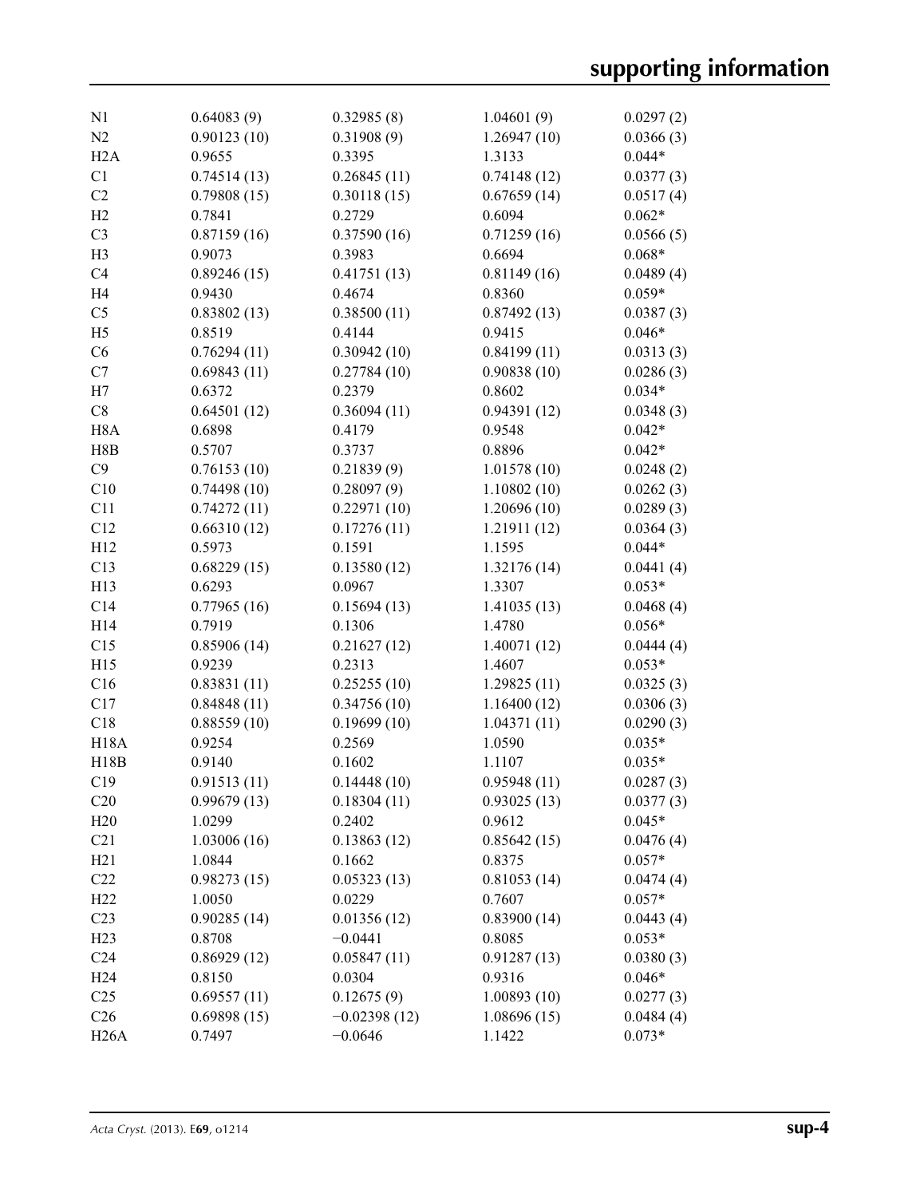| 0.64083(9)  | 0.32985(8)                                                                                                                                                                                                                                                                                                                                                                                                                                                                    | 1.04601(9)                                                                                                                                                                                                                                                                                                                                                                                                                                                                            | 0.0297(2)                                                                                                                                                                                                                                                                                                                                                                                                                                                                                 |
|-------------|-------------------------------------------------------------------------------------------------------------------------------------------------------------------------------------------------------------------------------------------------------------------------------------------------------------------------------------------------------------------------------------------------------------------------------------------------------------------------------|---------------------------------------------------------------------------------------------------------------------------------------------------------------------------------------------------------------------------------------------------------------------------------------------------------------------------------------------------------------------------------------------------------------------------------------------------------------------------------------|-------------------------------------------------------------------------------------------------------------------------------------------------------------------------------------------------------------------------------------------------------------------------------------------------------------------------------------------------------------------------------------------------------------------------------------------------------------------------------------------|
| 0.90123(10) | 0.31908(9)                                                                                                                                                                                                                                                                                                                                                                                                                                                                    | 1.26947(10)                                                                                                                                                                                                                                                                                                                                                                                                                                                                           | 0.0366(3)                                                                                                                                                                                                                                                                                                                                                                                                                                                                                 |
| 0.9655      |                                                                                                                                                                                                                                                                                                                                                                                                                                                                               |                                                                                                                                                                                                                                                                                                                                                                                                                                                                                       | $0.044*$                                                                                                                                                                                                                                                                                                                                                                                                                                                                                  |
|             |                                                                                                                                                                                                                                                                                                                                                                                                                                                                               |                                                                                                                                                                                                                                                                                                                                                                                                                                                                                       | 0.0377(3)                                                                                                                                                                                                                                                                                                                                                                                                                                                                                 |
|             |                                                                                                                                                                                                                                                                                                                                                                                                                                                                               |                                                                                                                                                                                                                                                                                                                                                                                                                                                                                       | 0.0517(4)                                                                                                                                                                                                                                                                                                                                                                                                                                                                                 |
|             |                                                                                                                                                                                                                                                                                                                                                                                                                                                                               |                                                                                                                                                                                                                                                                                                                                                                                                                                                                                       | $0.062*$                                                                                                                                                                                                                                                                                                                                                                                                                                                                                  |
|             |                                                                                                                                                                                                                                                                                                                                                                                                                                                                               |                                                                                                                                                                                                                                                                                                                                                                                                                                                                                       | 0.0566(5)                                                                                                                                                                                                                                                                                                                                                                                                                                                                                 |
|             |                                                                                                                                                                                                                                                                                                                                                                                                                                                                               |                                                                                                                                                                                                                                                                                                                                                                                                                                                                                       | $0.068*$                                                                                                                                                                                                                                                                                                                                                                                                                                                                                  |
|             |                                                                                                                                                                                                                                                                                                                                                                                                                                                                               |                                                                                                                                                                                                                                                                                                                                                                                                                                                                                       | 0.0489(4)                                                                                                                                                                                                                                                                                                                                                                                                                                                                                 |
|             |                                                                                                                                                                                                                                                                                                                                                                                                                                                                               |                                                                                                                                                                                                                                                                                                                                                                                                                                                                                       | $0.059*$                                                                                                                                                                                                                                                                                                                                                                                                                                                                                  |
|             |                                                                                                                                                                                                                                                                                                                                                                                                                                                                               |                                                                                                                                                                                                                                                                                                                                                                                                                                                                                       | 0.0387(3)                                                                                                                                                                                                                                                                                                                                                                                                                                                                                 |
|             |                                                                                                                                                                                                                                                                                                                                                                                                                                                                               |                                                                                                                                                                                                                                                                                                                                                                                                                                                                                       | $0.046*$                                                                                                                                                                                                                                                                                                                                                                                                                                                                                  |
|             |                                                                                                                                                                                                                                                                                                                                                                                                                                                                               |                                                                                                                                                                                                                                                                                                                                                                                                                                                                                       | 0.0313(3)                                                                                                                                                                                                                                                                                                                                                                                                                                                                                 |
|             |                                                                                                                                                                                                                                                                                                                                                                                                                                                                               |                                                                                                                                                                                                                                                                                                                                                                                                                                                                                       | 0.0286(3)                                                                                                                                                                                                                                                                                                                                                                                                                                                                                 |
|             |                                                                                                                                                                                                                                                                                                                                                                                                                                                                               |                                                                                                                                                                                                                                                                                                                                                                                                                                                                                       | $0.034*$                                                                                                                                                                                                                                                                                                                                                                                                                                                                                  |
|             |                                                                                                                                                                                                                                                                                                                                                                                                                                                                               |                                                                                                                                                                                                                                                                                                                                                                                                                                                                                       | 0.0348(3)                                                                                                                                                                                                                                                                                                                                                                                                                                                                                 |
|             |                                                                                                                                                                                                                                                                                                                                                                                                                                                                               |                                                                                                                                                                                                                                                                                                                                                                                                                                                                                       | $0.042*$                                                                                                                                                                                                                                                                                                                                                                                                                                                                                  |
|             |                                                                                                                                                                                                                                                                                                                                                                                                                                                                               |                                                                                                                                                                                                                                                                                                                                                                                                                                                                                       | $0.042*$                                                                                                                                                                                                                                                                                                                                                                                                                                                                                  |
|             |                                                                                                                                                                                                                                                                                                                                                                                                                                                                               |                                                                                                                                                                                                                                                                                                                                                                                                                                                                                       | 0.0248(2)                                                                                                                                                                                                                                                                                                                                                                                                                                                                                 |
|             |                                                                                                                                                                                                                                                                                                                                                                                                                                                                               |                                                                                                                                                                                                                                                                                                                                                                                                                                                                                       | 0.0262(3)                                                                                                                                                                                                                                                                                                                                                                                                                                                                                 |
|             |                                                                                                                                                                                                                                                                                                                                                                                                                                                                               |                                                                                                                                                                                                                                                                                                                                                                                                                                                                                       | 0.0289(3)                                                                                                                                                                                                                                                                                                                                                                                                                                                                                 |
|             |                                                                                                                                                                                                                                                                                                                                                                                                                                                                               |                                                                                                                                                                                                                                                                                                                                                                                                                                                                                       |                                                                                                                                                                                                                                                                                                                                                                                                                                                                                           |
|             |                                                                                                                                                                                                                                                                                                                                                                                                                                                                               |                                                                                                                                                                                                                                                                                                                                                                                                                                                                                       | 0.0364(3)<br>$0.044*$                                                                                                                                                                                                                                                                                                                                                                                                                                                                     |
|             |                                                                                                                                                                                                                                                                                                                                                                                                                                                                               |                                                                                                                                                                                                                                                                                                                                                                                                                                                                                       |                                                                                                                                                                                                                                                                                                                                                                                                                                                                                           |
|             |                                                                                                                                                                                                                                                                                                                                                                                                                                                                               |                                                                                                                                                                                                                                                                                                                                                                                                                                                                                       | 0.0441(4)                                                                                                                                                                                                                                                                                                                                                                                                                                                                                 |
|             |                                                                                                                                                                                                                                                                                                                                                                                                                                                                               |                                                                                                                                                                                                                                                                                                                                                                                                                                                                                       | $0.053*$                                                                                                                                                                                                                                                                                                                                                                                                                                                                                  |
|             |                                                                                                                                                                                                                                                                                                                                                                                                                                                                               |                                                                                                                                                                                                                                                                                                                                                                                                                                                                                       | 0.0468(4)                                                                                                                                                                                                                                                                                                                                                                                                                                                                                 |
|             |                                                                                                                                                                                                                                                                                                                                                                                                                                                                               |                                                                                                                                                                                                                                                                                                                                                                                                                                                                                       | $0.056*$                                                                                                                                                                                                                                                                                                                                                                                                                                                                                  |
|             |                                                                                                                                                                                                                                                                                                                                                                                                                                                                               |                                                                                                                                                                                                                                                                                                                                                                                                                                                                                       | 0.0444(4)                                                                                                                                                                                                                                                                                                                                                                                                                                                                                 |
|             |                                                                                                                                                                                                                                                                                                                                                                                                                                                                               |                                                                                                                                                                                                                                                                                                                                                                                                                                                                                       | $0.053*$                                                                                                                                                                                                                                                                                                                                                                                                                                                                                  |
|             |                                                                                                                                                                                                                                                                                                                                                                                                                                                                               |                                                                                                                                                                                                                                                                                                                                                                                                                                                                                       | 0.0325(3)                                                                                                                                                                                                                                                                                                                                                                                                                                                                                 |
|             |                                                                                                                                                                                                                                                                                                                                                                                                                                                                               |                                                                                                                                                                                                                                                                                                                                                                                                                                                                                       | 0.0306(3)                                                                                                                                                                                                                                                                                                                                                                                                                                                                                 |
|             |                                                                                                                                                                                                                                                                                                                                                                                                                                                                               |                                                                                                                                                                                                                                                                                                                                                                                                                                                                                       | 0.0290(3)                                                                                                                                                                                                                                                                                                                                                                                                                                                                                 |
|             |                                                                                                                                                                                                                                                                                                                                                                                                                                                                               |                                                                                                                                                                                                                                                                                                                                                                                                                                                                                       | $0.035*$                                                                                                                                                                                                                                                                                                                                                                                                                                                                                  |
|             |                                                                                                                                                                                                                                                                                                                                                                                                                                                                               |                                                                                                                                                                                                                                                                                                                                                                                                                                                                                       | $0.035*$                                                                                                                                                                                                                                                                                                                                                                                                                                                                                  |
|             |                                                                                                                                                                                                                                                                                                                                                                                                                                                                               |                                                                                                                                                                                                                                                                                                                                                                                                                                                                                       | 0.0287(3)                                                                                                                                                                                                                                                                                                                                                                                                                                                                                 |
|             |                                                                                                                                                                                                                                                                                                                                                                                                                                                                               |                                                                                                                                                                                                                                                                                                                                                                                                                                                                                       | 0.0377(3)                                                                                                                                                                                                                                                                                                                                                                                                                                                                                 |
|             |                                                                                                                                                                                                                                                                                                                                                                                                                                                                               |                                                                                                                                                                                                                                                                                                                                                                                                                                                                                       | $0.045*$                                                                                                                                                                                                                                                                                                                                                                                                                                                                                  |
|             |                                                                                                                                                                                                                                                                                                                                                                                                                                                                               |                                                                                                                                                                                                                                                                                                                                                                                                                                                                                       | 0.0476(4)                                                                                                                                                                                                                                                                                                                                                                                                                                                                                 |
|             |                                                                                                                                                                                                                                                                                                                                                                                                                                                                               |                                                                                                                                                                                                                                                                                                                                                                                                                                                                                       | $0.057*$                                                                                                                                                                                                                                                                                                                                                                                                                                                                                  |
| 0.98273(15) | 0.05323(13)                                                                                                                                                                                                                                                                                                                                                                                                                                                                   | 0.81053(14)                                                                                                                                                                                                                                                                                                                                                                                                                                                                           | 0.0474(4)                                                                                                                                                                                                                                                                                                                                                                                                                                                                                 |
| 1.0050      | 0.0229                                                                                                                                                                                                                                                                                                                                                                                                                                                                        | 0.7607                                                                                                                                                                                                                                                                                                                                                                                                                                                                                | $0.057*$                                                                                                                                                                                                                                                                                                                                                                                                                                                                                  |
| 0.90285(14) | 0.01356(12)                                                                                                                                                                                                                                                                                                                                                                                                                                                                   | 0.83900(14)                                                                                                                                                                                                                                                                                                                                                                                                                                                                           | 0.0443(4)                                                                                                                                                                                                                                                                                                                                                                                                                                                                                 |
| 0.8708      | $-0.0441$                                                                                                                                                                                                                                                                                                                                                                                                                                                                     | 0.8085                                                                                                                                                                                                                                                                                                                                                                                                                                                                                | $0.053*$                                                                                                                                                                                                                                                                                                                                                                                                                                                                                  |
| 0.86929(12) | 0.05847(11)                                                                                                                                                                                                                                                                                                                                                                                                                                                                   | 0.91287(13)                                                                                                                                                                                                                                                                                                                                                                                                                                                                           | 0.0380(3)                                                                                                                                                                                                                                                                                                                                                                                                                                                                                 |
| 0.8150      | 0.0304                                                                                                                                                                                                                                                                                                                                                                                                                                                                        | 0.9316                                                                                                                                                                                                                                                                                                                                                                                                                                                                                | $0.046*$                                                                                                                                                                                                                                                                                                                                                                                                                                                                                  |
| 0.69557(11) | 0.12675(9)                                                                                                                                                                                                                                                                                                                                                                                                                                                                    | 1.00893(10)                                                                                                                                                                                                                                                                                                                                                                                                                                                                           | 0.0277(3)                                                                                                                                                                                                                                                                                                                                                                                                                                                                                 |
| 0.69898(15) | $-0.02398(12)$                                                                                                                                                                                                                                                                                                                                                                                                                                                                | 1.08696(15)                                                                                                                                                                                                                                                                                                                                                                                                                                                                           | 0.0484(4)                                                                                                                                                                                                                                                                                                                                                                                                                                                                                 |
| 0.7497      | $-0.0646$                                                                                                                                                                                                                                                                                                                                                                                                                                                                     | 1.1422                                                                                                                                                                                                                                                                                                                                                                                                                                                                                | $0.073*$                                                                                                                                                                                                                                                                                                                                                                                                                                                                                  |
|             | 0.74514(13)<br>0.79808(15)<br>0.7841<br>0.87159(16)<br>0.9073<br>0.89246(15)<br>0.9430<br>0.83802(13)<br>0.8519<br>0.76294(11)<br>0.69843(11)<br>0.6372<br>0.64501(12)<br>0.6898<br>0.5707<br>0.76153(10)<br>0.74498(10)<br>0.74272(11)<br>0.66310(12)<br>0.5973<br>0.68229(15)<br>0.6293<br>0.77965(16)<br>0.7919<br>0.85906(14)<br>0.9239<br>0.83831(11)<br>0.84848(11)<br>0.88559(10)<br>0.9254<br>0.9140<br>0.91513(11)<br>0.99679(13)<br>1.0299<br>1.03006(16)<br>1.0844 | 0.3395<br>0.26845(11)<br>0.30118(15)<br>0.2729<br>0.37590(16)<br>0.3983<br>0.41751(13)<br>0.4674<br>0.38500(11)<br>0.4144<br>0.30942(10)<br>0.27784(10)<br>0.2379<br>0.36094(11)<br>0.4179<br>0.3737<br>0.21839(9)<br>0.28097(9)<br>0.22971(10)<br>0.17276(11)<br>0.1591<br>0.13580(12)<br>0.0967<br>0.15694(13)<br>0.1306<br>0.21627(12)<br>0.2313<br>0.25255(10)<br>0.34756(10)<br>0.19699(10)<br>0.2569<br>0.1602<br>0.14448(10)<br>0.18304(11)<br>0.2402<br>0.13863(12)<br>0.1662 | 1.3133<br>0.74148(12)<br>0.67659(14)<br>0.6094<br>0.71259(16)<br>0.6694<br>0.81149(16)<br>0.8360<br>0.87492(13)<br>0.9415<br>0.84199(11)<br>0.90838(10)<br>0.8602<br>0.94391(12)<br>0.9548<br>0.8896<br>1.01578(10)<br>1.10802(10)<br>1.20696(10)<br>1.21911 (12)<br>1.1595<br>1.32176 (14)<br>1.3307<br>1.41035(13)<br>1.4780<br>1.40071(12)<br>1.4607<br>1.29825(11)<br>1.16400(12)<br>1.04371(11)<br>1.0590<br>1.1107<br>0.95948(11)<br>0.93025(13)<br>0.9612<br>0.85642(15)<br>0.8375 |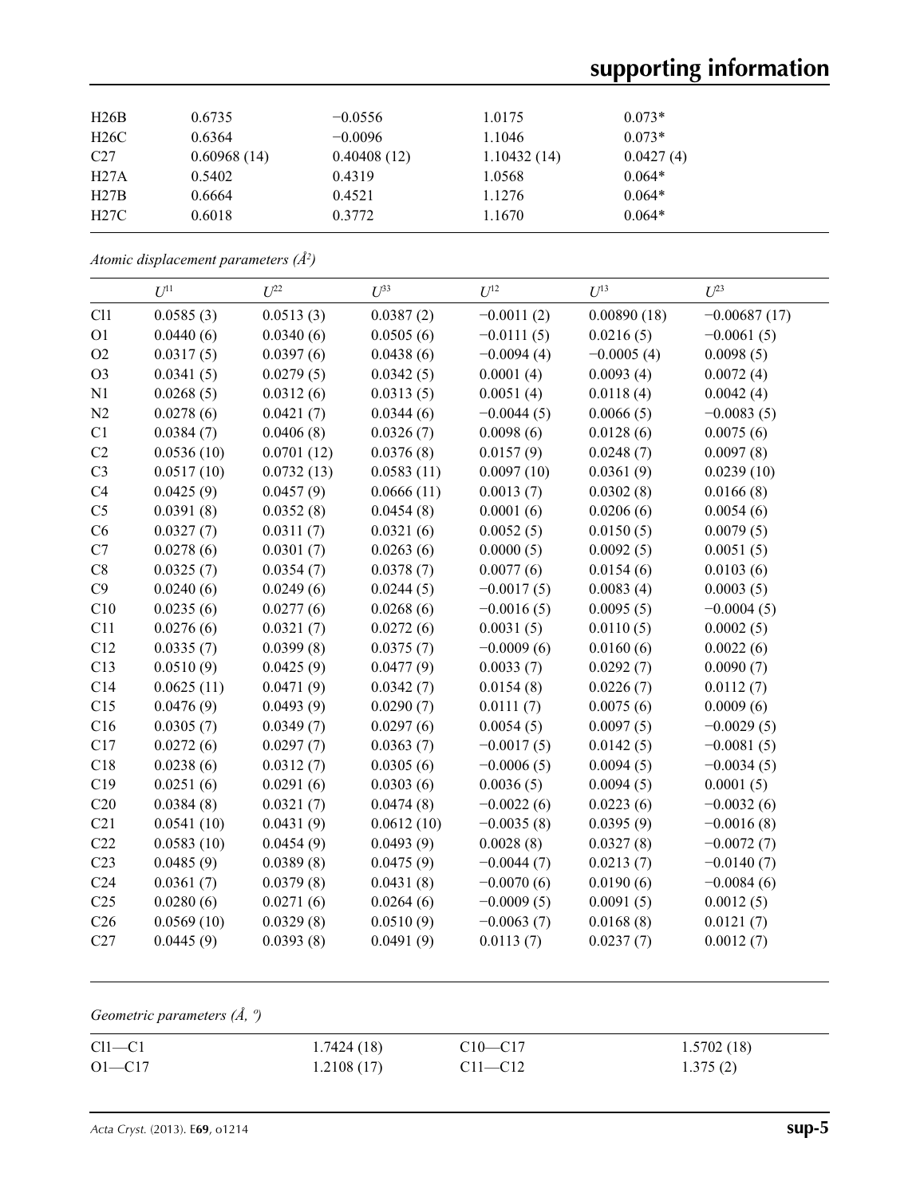# **supporting information**

| 0.6735      | $-0.0556$   | 1.0175      | $0.073*$  |
|-------------|-------------|-------------|-----------|
| 0.6364      | $-0.0096$   | 1.1046      | $0.073*$  |
| 0.60968(14) | 0.40408(12) | 1.10432(14) | 0.0427(4) |
| 0.5402      | 0.4319      | 1.0568      | $0.064*$  |
| 0.6664      | 0.4521      | 1.1276      | $0.064*$  |
| 0.6018      | 0.3772      | 1.1670      | $0.064*$  |
|             |             |             |           |

*Atomic displacement parameters (Å2 )*

|                 | $U^{11}$   | $U^{22}$   | $U^{33}$   | $U^{12}$     | $U^{13}$     | $U^{23}$       |
|-----------------|------------|------------|------------|--------------|--------------|----------------|
| C11             | 0.0585(3)  | 0.0513(3)  | 0.0387(2)  | $-0.0011(2)$ | 0.00890(18)  | $-0.00687(17)$ |
| O <sub>1</sub>  | 0.0440(6)  | 0.0340(6)  | 0.0505(6)  | $-0.0111(5)$ | 0.0216(5)    | $-0.0061(5)$   |
| O2              | 0.0317(5)  | 0.0397(6)  | 0.0438(6)  | $-0.0094(4)$ | $-0.0005(4)$ | 0.0098(5)      |
| O <sub>3</sub>  | 0.0341(5)  | 0.0279(5)  | 0.0342(5)  | 0.0001(4)    | 0.0093(4)    | 0.0072(4)      |
| N1              | 0.0268(5)  | 0.0312(6)  | 0.0313(5)  | 0.0051(4)    | 0.0118(4)    | 0.0042(4)      |
| N2              | 0.0278(6)  | 0.0421(7)  | 0.0344(6)  | $-0.0044(5)$ | 0.0066(5)    | $-0.0083(5)$   |
| C1              | 0.0384(7)  | 0.0406(8)  | 0.0326(7)  | 0.0098(6)    | 0.0128(6)    | 0.0075(6)      |
| C2              | 0.0536(10) | 0.0701(12) | 0.0376(8)  | 0.0157(9)    | 0.0248(7)    | 0.0097(8)      |
| C <sub>3</sub>  | 0.0517(10) | 0.0732(13) | 0.0583(11) | 0.0097(10)   | 0.0361(9)    | 0.0239(10)     |
| C4              | 0.0425(9)  | 0.0457(9)  | 0.0666(11) | 0.0013(7)    | 0.0302(8)    | 0.0166(8)      |
| C <sub>5</sub>  | 0.0391(8)  | 0.0352(8)  | 0.0454(8)  | 0.0001(6)    | 0.0206(6)    | 0.0054(6)      |
| C6              | 0.0327(7)  | 0.0311(7)  | 0.0321(6)  | 0.0052(5)    | 0.0150(5)    | 0.0079(5)      |
| C7              | 0.0278(6)  | 0.0301(7)  | 0.0263(6)  | 0.0000(5)    | 0.0092(5)    | 0.0051(5)      |
| C8              | 0.0325(7)  | 0.0354(7)  | 0.0378(7)  | 0.0077(6)    | 0.0154(6)    | 0.0103(6)      |
| C9              | 0.0240(6)  | 0.0249(6)  | 0.0244(5)  | $-0.0017(5)$ | 0.0083(4)    | 0.0003(5)      |
| C10             | 0.0235(6)  | 0.0277(6)  | 0.0268(6)  | $-0.0016(5)$ | 0.0095(5)    | $-0.0004(5)$   |
| C11             | 0.0276(6)  | 0.0321(7)  | 0.0272(6)  | 0.0031(5)    | 0.0110(5)    | 0.0002(5)      |
| C12             | 0.0335(7)  | 0.0399(8)  | 0.0375(7)  | $-0.0009(6)$ | 0.0160(6)    | 0.0022(6)      |
| C13             | 0.0510(9)  | 0.0425(9)  | 0.0477(9)  | 0.0033(7)    | 0.0292(7)    | 0.0090(7)      |
| C14             | 0.0625(11) | 0.0471(9)  | 0.0342(7)  | 0.0154(8)    | 0.0226(7)    | 0.0112(7)      |
| C15             | 0.0476(9)  | 0.0493(9)  | 0.0290(7)  | 0.0111(7)    | 0.0075(6)    | 0.0009(6)      |
| C16             | 0.0305(7)  | 0.0349(7)  | 0.0297(6)  | 0.0054(5)    | 0.0097(5)    | $-0.0029(5)$   |
| C17             | 0.0272(6)  | 0.0297(7)  | 0.0363(7)  | $-0.0017(5)$ | 0.0142(5)    | $-0.0081(5)$   |
| C18             | 0.0238(6)  | 0.0312(7)  | 0.0305(6)  | $-0.0006(5)$ | 0.0094(5)    | $-0.0034(5)$   |
| C19             | 0.0251(6)  | 0.0291(6)  | 0.0303(6)  | 0.0036(5)    | 0.0094(5)    | 0.0001(5)      |
| C20             | 0.0384(8)  | 0.0321(7)  | 0.0474(8)  | $-0.0022(6)$ | 0.0223(6)    | $-0.0032(6)$   |
| C21             | 0.0541(10) | 0.0431(9)  | 0.0612(10) | $-0.0035(8)$ | 0.0395(9)    | $-0.0016(8)$   |
| C22             | 0.0583(10) | 0.0454(9)  | 0.0493(9)  | 0.0028(8)    | 0.0327(8)    | $-0.0072(7)$   |
| C <sub>23</sub> | 0.0485(9)  | 0.0389(8)  | 0.0475(9)  | $-0.0044(7)$ | 0.0213(7)    | $-0.0140(7)$   |
| C <sub>24</sub> | 0.0361(7)  | 0.0379(8)  | 0.0431(8)  | $-0.0070(6)$ | 0.0190(6)    | $-0.0084(6)$   |
| C <sub>25</sub> | 0.0280(6)  | 0.0271(6)  | 0.0264(6)  | $-0.0009(5)$ | 0.0091(5)    | 0.0012(5)      |
| C <sub>26</sub> | 0.0569(10) | 0.0329(8)  | 0.0510(9)  | $-0.0063(7)$ | 0.0168(8)    | 0.0121(7)      |
| C27             | 0.0445(9)  | 0.0393(8)  | 0.0491(9)  | 0.0113(7)    | 0.0237(7)    | 0.0012(7)      |

*Geometric parameters (Å, º)*

| $Cl1-C1$   | 1.7424(18) | $C10 - C17$ | 1.5702(18) |
|------------|------------|-------------|------------|
| $O1 - C17$ | 1.2108(17) | $C11 - C12$ | 1.375(2)   |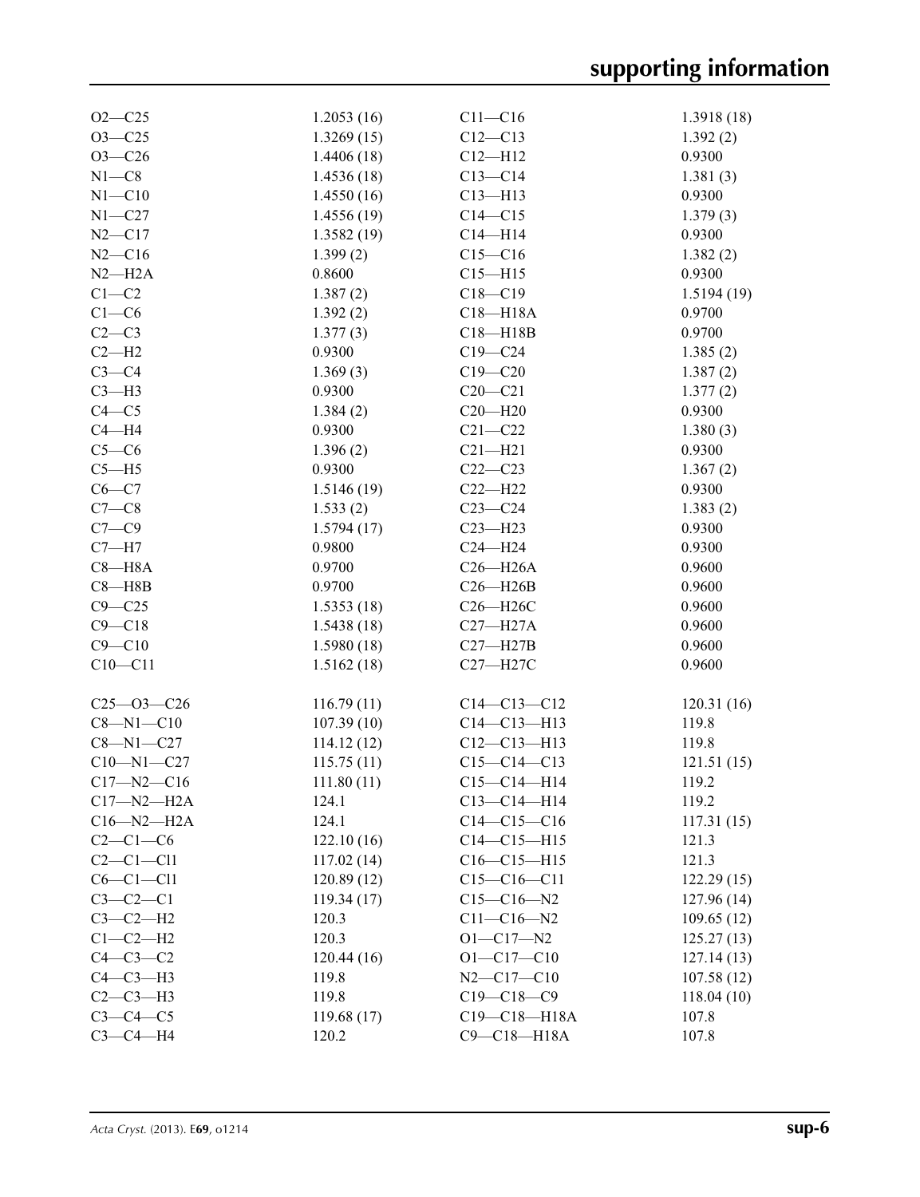| $O2 - C25$       | 1.2053(16) | $C11 - C16$        | 1.3918(18) |
|------------------|------------|--------------------|------------|
| $O3 - C25$       | 1.3269(15) | $C12 - C13$        | 1.392(2)   |
| $O3 - C26$       | 1.4406(18) | $C12 - H12$        | 0.9300     |
| $N1 - C8$        | 1.4536(18) | $C13-C14$          | 1.381(3)   |
| $N1 - C10$       | 1.4550(16) | $C13 - H13$        | 0.9300     |
| $N1 - C27$       | 1.4556(19) | $C14 - C15$        | 1.379(3)   |
| $N2 - C17$       | 1.3582(19) | $C14 - H14$        | 0.9300     |
| $N2 - C16$       | 1.399(2)   | $C15 - C16$        | 1.382(2)   |
| $N2-H2A$         | 0.8600     | $C15 - H15$        | 0.9300     |
| $C1-C2$          | 1.387(2)   | $C18 - C19$        | 1.5194(19) |
| $C1-C6$          | 1.392(2)   | $C18 - H18A$       | 0.9700     |
| $C2-C3$          | 1.377(3)   | $C18 - H18B$       | 0.9700     |
| $C2-H2$          | 0.9300     | $C19 - C24$        | 1.385(2)   |
| $C3-C4$          | 1.369(3)   | $C19 - C20$        | 1.387(2)   |
| $C3-H3$          | 0.9300     | $C20 - C21$        | 1.377(2)   |
| $C4 - C5$        | 1.384(2)   | $C20 - H20$        | 0.9300     |
|                  |            |                    |            |
| $C4 - H4$        | 0.9300     | $C21 - C22$        | 1.380(3)   |
| $C5-C6$          | 1.396(2)   | $C21 - H21$        | 0.9300     |
| $C5 - H5$        | 0.9300     | $C22-C23$          | 1.367(2)   |
| $C6-C7$          | 1.5146(19) | $C22-H22$          | 0.9300     |
| $C7-C8$          | 1.533(2)   | $C23-C24$          | 1.383(2)   |
| $C7 - C9$        | 1.5794(17) | $C23 - H23$        | 0.9300     |
| $C7 - H7$        | 0.9800     | $C24 - H24$        | 0.9300     |
| $C8 - H8A$       | 0.9700     | $C26 - H26A$       | 0.9600     |
| $C8 - H8B$       | 0.9700     | $C26 - H26B$       | 0.9600     |
| $C9 - C25$       | 1.5353(18) | C26-H26C           | 0.9600     |
| $C9 - C18$       | 1.5438(18) | $C27 - H27A$       | 0.9600     |
| $C9 - C10$       | 1.5980(18) | $C27 - H27B$       | 0.9600     |
| $C10-C11$        | 1.5162(18) | C27-H27C           | 0.9600     |
|                  |            |                    |            |
| $C25 - 03 - C26$ | 116.79(11) | $C14 - C13 - C12$  | 120.31(16) |
| $C8 - N1 - C10$  | 107.39(10) | $C14 - C13 - H13$  | 119.8      |
| $C8 - N1 - C27$  | 114.12(12) | $C12 - C13 - H13$  | 119.8      |
| $C10 - N1 - C27$ | 115.75(11) | $C15-C14-C13$      | 121.51(15) |
| $C17 - N2 - C16$ | 111.80(11) | $C15-C14-H14$      | 119.2      |
| $C17 - N2 - H2A$ | 124.1      | $C13 - C14 - H14$  | 119.2      |
| $C16 - N2 - H2A$ | 124.1      | $C14 - C15 - C16$  | 117.31(15) |
| $C2-C1-C6$       | 122.10(16) | $C14 - C15 - H15$  | 121.3      |
| $C2-C1-C11$      | 117.02(14) | $C16 - C15 - H15$  | 121.3      |
| $C6-C1-C11$      | 120.89(12) | $C15-C16-C11$      | 122.29(15) |
| $C3-C2-C1$       | 119.34(17) | $C15 - C16 - N2$   | 127.96(14) |
| $C3-C2-H2$       | 120.3      | $C11 - C16 - N2$   | 109.65(12) |
| $C1-C2-H2$       | 120.3      | $O1 - C17 - N2$    | 125.27(13) |
| $C4-C3-C2$       | 120.44(16) | $O1 - C17 - C10$   | 127.14(13) |
| $C4-C3-H3$       | 119.8      | $N2 - C17 - C10$   | 107.58(12) |
| $C2-C3-H3$       | 119.8      | $C19 - C18 - C9$   | 118.04(10) |
| $C3-C4-C5$       | 119.68(17) | $C19 - C18 - H18A$ | 107.8      |
| $C3-C4-H4$       | 120.2      | $C9 - C18 - H18A$  | 107.8      |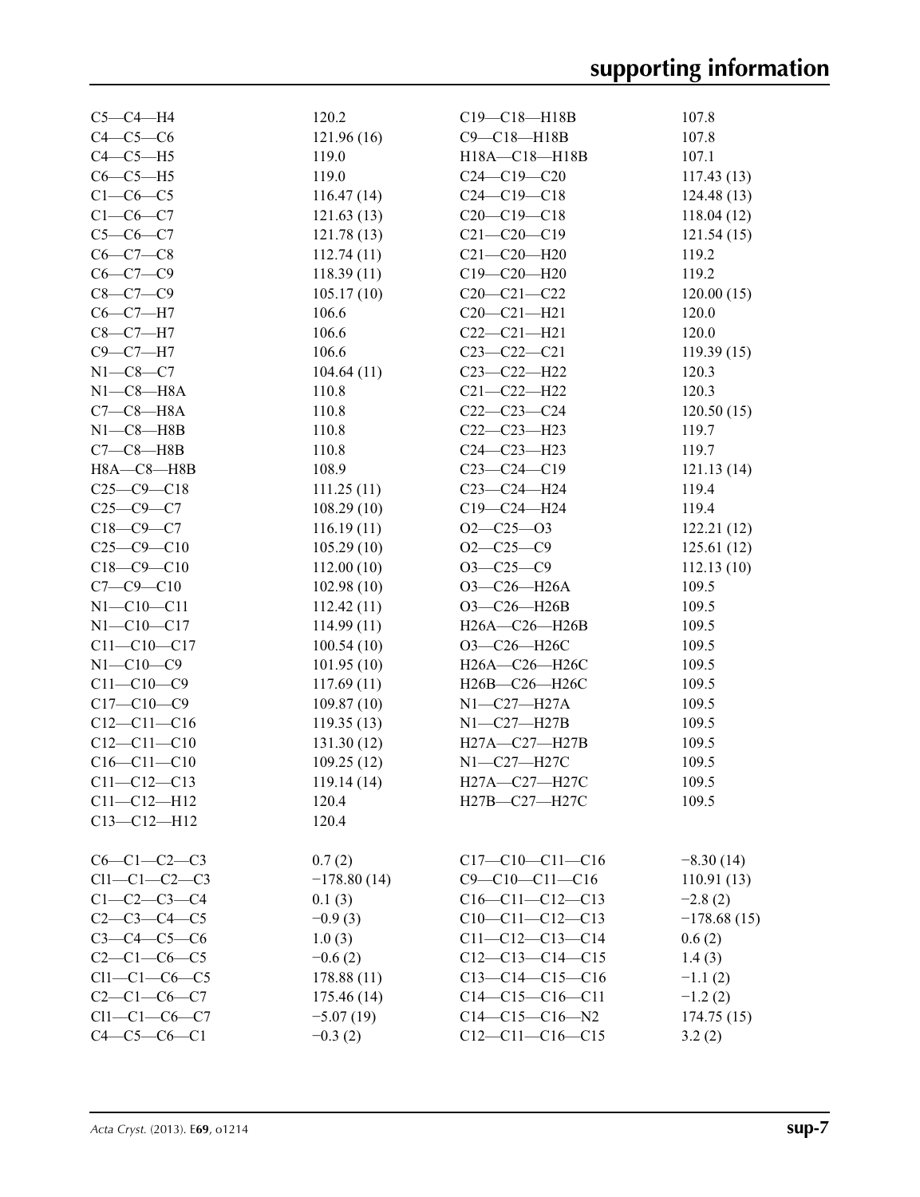| $C5-C4-H4$          | 120.2         | $C19 - C18 - H18B$     | 107.8         |
|---------------------|---------------|------------------------|---------------|
| $C4-C5-C6$          | 121.96(16)    | C9-C18-H18B            | 107.8         |
| $C4-C5-H5$          | 119.0         | H18A-C18-H18B          | 107.1         |
| $C6-C5-H5$          | 119.0         | $C24 - C19 - C20$      | 117.43(13)    |
| $C1-C6-C5$          | 116.47(14)    | $C24 - C19 - C18$      | 124.48(13)    |
| $C1-C6-C7$          | 121.63(13)    | $C20-C19-C18$          | 118.04(12)    |
| $C5 - C6 - C7$      | 121.78(13)    | $C21 - C20 - C19$      | 121.54(15)    |
| $C6-C7-C8$          | 112.74(11)    | $C21 - C20 - H20$      | 119.2         |
| $C6 - C7 - C9$      | 118.39(11)    | $C19 - C20 - H20$      | 119.2         |
| $C8 - C7 - C9$      | 105.17(10)    | $C20 - C21 - C22$      | 120.00(15)    |
| $C6-C7-H7$          | 106.6         | $C20 - C21 - H21$      | 120.0         |
| $C8-C7-H7$          | 106.6         | $C22-C21-H21$          | 120.0         |
| $C9 - C7 - H7$      | 106.6         | $C23 - C22 - C21$      | 119.39(15)    |
| $N1-C8-C7$          | 104.64(11)    | C23-C22-H22            | 120.3         |
| $N1-C8-H8A$         | 110.8         | $C21 - C22 - H22$      | 120.3         |
| $C7-C8-H8A$         | 110.8         | $C22-C23-C24$          | 120.50(15)    |
| $N1 - C8 - H8B$     | 110.8         | $C22-C23-H23$          | 119.7         |
|                     |               |                        |               |
| $C7-C8-HBB$         | 110.8         | $C24 - C23 - H23$      | 119.7         |
| $H8A - C8 - H8B$    | 108.9         | $C23-C24-C19$          | 121.13(14)    |
| $C25-C9-C18$        | 111.25(11)    | $C23-C24-H24$          | 119.4         |
| $C25-C9-C7$         | 108.29(10)    | C19-C24-H24            | 119.4         |
| $C18 - C9 - C7$     | 116.19(11)    | $O2 - C25 - O3$        | 122.21(12)    |
| $C25-C9-C10$        | 105.29(10)    | $O2 - C25 - C9$        | 125.61(12)    |
| $C18 - C9 - C10$    | 112.00(10)    | $O3 - C25 - C9$        | 112.13(10)    |
| $C7 - C9 - C10$     | 102.98(10)    | O3-C26-H26A            | 109.5         |
| $N1 - C10 - C11$    | 112.42(11)    | O3-C26-H26B            | 109.5         |
| $N1 - C10 - C17$    | 114.99(11)    | H26A-C26-H26B          | 109.5         |
| $C11 - C10 - C17$   | 100.54(10)    | ОЗ-С26-Н26С            | 109.5         |
| $N1 - C10 - C9$     | 101.95(10)    | H26A-C26-H26C          | 109.5         |
| $C11 - C10 - C9$    | 117.69(11)    | H26B-C26-H26C          | 109.5         |
| $C17 - C10 - C9$    | 109.87(10)    | $N1-C27-H27A$          | 109.5         |
| $C12 - C11 - C16$   | 119.35(13)    | $N1-C27-H27B$          | 109.5         |
| $C12 - C11 - C10$   | 131.30(12)    | H27A-C27-H27B          | 109.5         |
| $C16 - C11 - C10$   | 109.25(12)    | N1-C27-H27C            | 109.5         |
| $C11 - C12 - C13$   | 119.14(14)    | H27A-C27-H27C          | 109.5         |
| $C11 - C12 - H12$   | 120.4         | H27B-C27-H27C          | 109.5         |
| $C13 - C12 - H12$   | 120.4         |                        |               |
|                     |               |                        |               |
| $C6-C1-C2-C3$       | 0.7(2)        | $C17-C10-C11-C16$      | $-8.30(14)$   |
| $Cl1-C1-C2-C3$      | $-178.80(14)$ | $C9 - C10 - C11 - C16$ | 110.91(13)    |
| $C1 - C2 - C3 - C4$ | 0.1(3)        | $C16-C11-C12-C13$      | $-2.8(2)$     |
| $C2 - C3 - C4 - C5$ | $-0.9(3)$     | $C10-C11-C12-C13$      | $-178.68(15)$ |
| $C3 - C4 - C5 - C6$ | 1.0(3)        | $C11-C12-C13-C14$      | 0.6(2)        |
| $C2 - C1 - C6 - C5$ | $-0.6(2)$     | $C12-C13-C14-C15$      | 1.4(3)        |
| $Cl1-C1-C6-C5$      | 178.88(11)    | $C13-C14-C15-C16$      | $-1.1(2)$     |
| $C2 - C1 - C6 - C7$ | 175.46(14)    | $C14-C15-C16-C11$      | $-1.2(2)$     |
| $Cl1-C1-C6-C7$      | $-5.07(19)$   | $C14-C15-C16-N2$       | 174.75(15)    |
| $C4 - C5 - C6 - C1$ | $-0.3(2)$     | $C12-C11-C16-C15$      | 3.2(2)        |
|                     |               |                        |               |